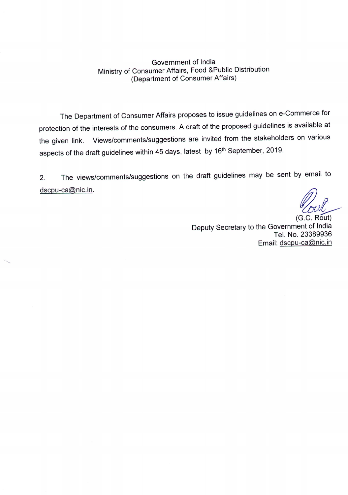Government of India Ministry of Consumer Affairs, Food &Public Distribution (Department of Consumer Affairs)

The Department of Consumer Affairs proposes to issue guidelines on e-Commerce for protection of the interests of the consumers. A draft of the proposed guidelines is available at the given link. Views/comments/suggestions are invited from the stakeholders on various aspects of the draft guidelines within 45 days, latest by 16<sup>th</sup> September, 2019.

2. The views/comments/suggestions on the draft guidelines may be sent by email to dscpu-ca@nic.in.

~~

(G.C. Rout) Deputy Secretary to the Government of India Tel. No. 23389936 Email: dscpu-ca@nic.in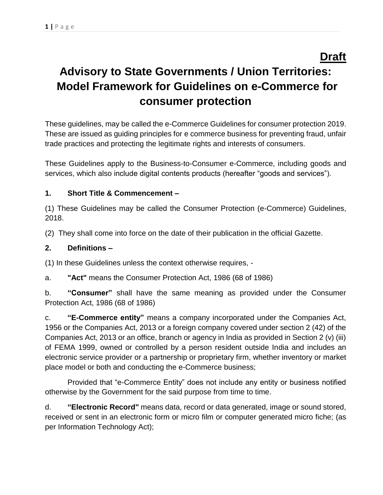# **Advisory to State Governments / Union Territories: Model Framework for Guidelines on e-Commerce for consumer protection**

These guidelines, may be called the e-Commerce Guidelines for consumer protection 2019. These are issued as guiding principles for e commerce business for preventing fraud, unfair trade practices and protecting the legitimate rights and interests of consumers.

These Guidelines apply to the Business-to-Consumer e-Commerce, including goods and services, which also include digital contents products (hereafter "goods and services").

### **1. Short Title & Commencement –**

(1) These Guidelines may be called the Consumer Protection (e-Commerce) Guidelines, 2018.

(2) They shall come into force on the date of their publication in the official Gazette.

#### **2. Definitions –**

(1) In these Guidelines unless the context otherwise requires, -

a. **"Act"** means the Consumer Protection Act, 1986 (68 of 1986)

b. **"Consumer"** shall have the same meaning as provided under the Consumer Protection Act, 1986 (68 of 1986)

c. **"E-Commerce entity"** means a company incorporated under the Companies Act, 1956 or the Companies Act, 2013 or a foreign company covered under section 2 (42) of the Companies Act, 2013 or an office, branch or agency in India as provided in Section 2 (v) (iii) of FEMA 1999, owned or controlled by a person resident outside India and includes an electronic service provider or a partnership or proprietary firm, whether inventory or market place model or both and conducting the e-Commerce business;

Provided that "e-Commerce Entity" does not include any entity or business notified otherwise by the Government for the said purpose from time to time.

d. **"Electronic Record"** means data, record or data generated, image or sound stored, received or sent in an electronic form or micro film or computer generated micro fiche; (as per Information Technology Act);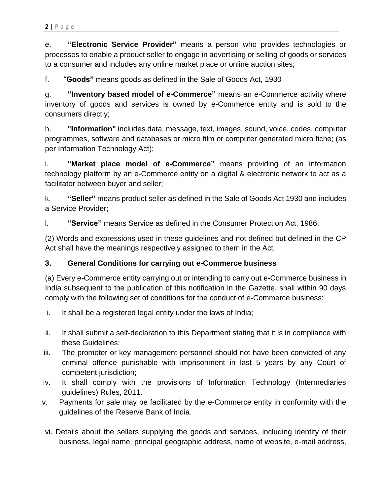e. **"Electronic Service Provider"** means a person who provides technologies or processes to enable a product seller to engage in advertising or selling of goods or services to a consumer and includes any online market place or online auction sites;

f. "**Goods"** means goods as defined in the Sale of Goods Act, 1930

g. **"Inventory based model of e-Commerce"** means an e-Commerce activity where inventory of goods and services is owned by e-Commerce entity and is sold to the consumers directly;

h. **"Information"** includes data, message, text, images, sound, voice, codes, computer programmes, software and databases or micro film or computer generated micro fiche; (as per Information Technology Act);

i. **"Market place model of e-Commerce"** means providing of an information technology platform by an e-Commerce entity on a digital & electronic network to act as a facilitator between buyer and seller;

k. **"Seller"** means product seller as defined in the Sale of Goods Act 1930 and includes a Service Provider;

l. **"Service"** means Service as defined in the Consumer Protection Act, 1986;

(2) Words and expressions used in these guidelines and not defined but defined in the CP Act shall have the meanings respectively assigned to them in the Act.

#### **3. General Conditions for carrying out e-Commerce business**

(a) Every e-Commerce entity carrying out or intending to carry out e-Commerce business in India subsequent to the publication of this notification in the Gazette, shall within 90 days comply with the following set of conditions for the conduct of e-Commerce business:

- i. It shall be a registered legal entity under the laws of India;
- ii. It shall submit a self-declaration to this Department stating that it is in compliance with these Guidelines;
- iii. The promoter or key management personnel should not have been convicted of any criminal offence punishable with imprisonment in last 5 years by any Court of competent jurisdiction;
- iv. It shall comply with the provisions of Information Technology (Intermediaries guidelines) Rules, 2011.
- v. Payments for sale may be facilitated by the e-Commerce entity in conformity with the guidelines of the Reserve Bank of India.
- vi. Details about the sellers supplying the goods and services, including identity of their business, legal name, principal geographic address, name of website, e-mail address,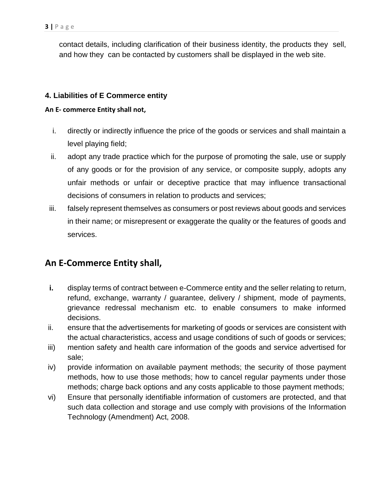contact details, including clarification of their business identity, the products they sell, and how they can be contacted by customers shall be displayed in the web site.

#### **4. Liabilities of E Commerce entity**

#### **An E- commerce Entity shall not,**

- i. directly or indirectly influence the price of the goods or services and shall maintain a level playing field;
- ii. adopt any trade practice which for the purpose of promoting the sale, use or supply of any goods or for the provision of any service, or composite supply, adopts any unfair methods or unfair or deceptive practice that may influence transactional decisions of consumers in relation to products and services;
- iii. falsely represent themselves as consumers or post reviews about goods and services in their name; or misrepresent or exaggerate the quality or the features of goods and services.

## **An E-Commerce Entity shall,**

- **i.** display terms of contract between e-Commerce entity and the seller relating to return, refund, exchange, warranty / guarantee, delivery / shipment, mode of payments, grievance redressal mechanism etc. to enable consumers to make informed decisions.
- ii. ensure that the advertisements for marketing of goods or services are consistent with the actual characteristics, access and usage conditions of such of goods or services;
- iii) mention safety and health care information of the goods and service advertised for sale;
- iv) provide information on available payment methods; the security of those payment methods, how to use those methods; how to cancel regular payments under those methods; charge back options and any costs applicable to those payment methods;
- vi) Ensure that personally identifiable information of customers are protected, and that such data collection and storage and use comply with provisions of the Information Technology (Amendment) Act, 2008.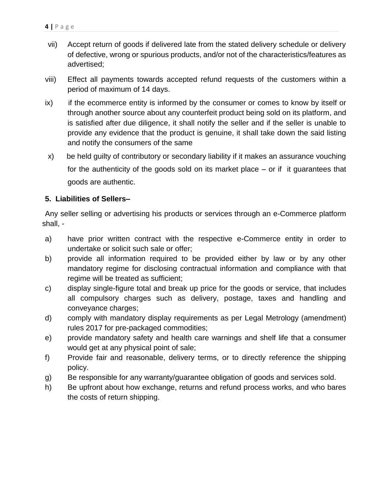- vii) Accept return of goods if delivered late from the stated delivery schedule or delivery of defective, wrong or spurious products, and/or not of the characteristics/features as advertised;
- viii) Effect all payments towards accepted refund requests of the customers within a period of maximum of 14 days.
- ix) if the ecommerce entity is informed by the consumer or comes to know by itself or through another source about any counterfeit product being sold on its platform, and is satisfied after due diligence, it shall notify the seller and if the seller is unable to provide any evidence that the product is genuine, it shall take down the said listing and notify the consumers of the same
- x) be held guilty of contributory or secondary liability if it makes an assurance vouching for the authenticity of the goods sold on its market place – or if it guarantees that goods are authentic.

#### **5. Liabilities of Sellers–**

Any seller selling or advertising his products or services through an e-Commerce platform shall, -

- a) have prior written contract with the respective e-Commerce entity in order to undertake or solicit such sale or offer;
- b) provide all information required to be provided either by law or by any other mandatory regime for disclosing contractual information and compliance with that regime will be treated as sufficient;
- c) display single-figure total and break up price for the goods or service, that includes all compulsory charges such as delivery, postage, taxes and handling and conveyance charges;
- d) comply with mandatory display requirements as per Legal Metrology (amendment) rules 2017 for pre-packaged commodities;
- e) provide mandatory safety and health care warnings and shelf life that a consumer would get at any physical point of sale;
- f) Provide fair and reasonable, delivery terms, or to directly reference the shipping policy.
- g) Be responsible for any warranty/guarantee obligation of goods and services sold.
- h) Be upfront about how exchange, returns and refund process works, and who bares the costs of return shipping.